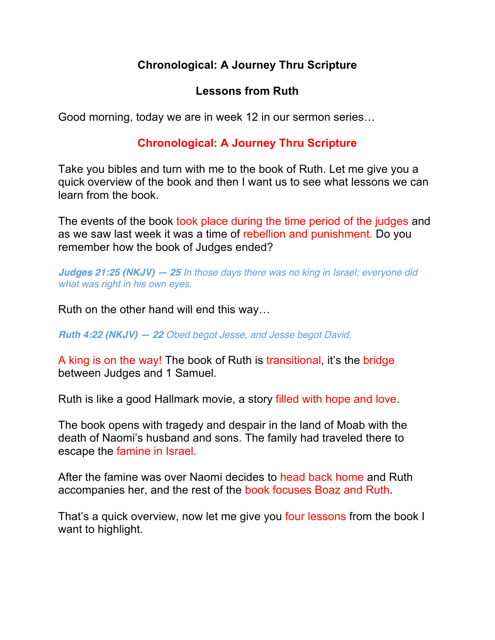# **Chronological: A Journey Thru Scripture**

## **Lessons from Ruth**

Good morning, today we are in week 12 in our sermon series…

## **Chronological: A Journey Thru Scripture**

Take you bibles and turn with me to the book of Ruth. Let me give you a quick overview of the book and then I want us to see what lessons we can learn from the book.

The events of the book took place during the time period of the judges and as we saw last week it was a time of rebellion and punishment. Do you remember how the book of Judges ended?

*Judges 21:25 (NKJV) — 25 In those days there was no king in Israel; everyone did what was right in his own eyes.*

Ruth on the other hand will end this way…

*Ruth 4:22 (NKJV) — 22 Obed begot Jesse, and Jesse begot David.*

A king is on the way! The book of Ruth is transitional, it's the bridge between Judges and 1 Samuel.

Ruth is like a good Hallmark movie, a story filled with hope and love.

The book opens with tragedy and despair in the land of Moab with the death of Naomi's husband and sons. The family had traveled there to escape the famine in Israel.

After the famine was over Naomi decides to head back home and Ruth accompanies her, and the rest of the book focuses Boaz and Ruth.

That's a quick overview, now let me give you four lessons from the book I want to highlight.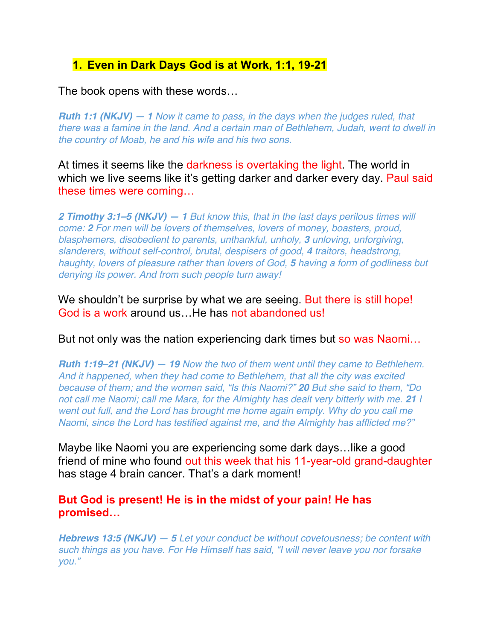## **1. Even in Dark Days God is at Work, 1:1, 19-21**

The book opens with these words…

*Ruth 1:1 (NKJV) — 1 Now it came to pass, in the days when the judges ruled, that there was a famine in the land. And a certain man of Bethlehem, Judah, went to dwell in the country of Moab, he and his wife and his two sons.*

At times it seems like the darkness is overtaking the light. The world in which we live seems like it's getting darker and darker every day. Paul said these times were coming…

*2 Timothy 3:1–5 (NKJV) — 1 But know this, that in the last days perilous times will come: 2 For men will be lovers of themselves, lovers of money, boasters, proud, blasphemers, disobedient to parents, unthankful, unholy, 3 unloving, unforgiving, slanderers, without self-control, brutal, despisers of good, 4 traitors, headstrong, haughty, lovers of pleasure rather than lovers of God, 5 having a form of godliness but denying its power. And from such people turn away!*

We shouldn't be surprise by what we are seeing. But there is still hope! God is a work around us…He has not abandoned us!

But not only was the nation experiencing dark times but so was Naomi...

*Ruth 1:19–21 (NKJV) — 19 Now the two of them went until they came to Bethlehem. And it happened, when they had come to Bethlehem, that all the city was excited because of them; and the women said, "Is this Naomi?" 20 But she said to them, "Do not call me Naomi; call me Mara, for the Almighty has dealt very bitterly with me.* 21 *I went out full, and the Lord has brought me home again empty. Why do you call me Naomi, since the Lord has testified against me, and the Almighty has afflicted me?"*

Maybe like Naomi you are experiencing some dark days…like a good friend of mine who found out this week that his 11-year-old grand-daughter has stage 4 brain cancer. That's a dark moment!

#### **But God is present! He is in the midst of your pain! He has promised…**

*Hebrews 13:5 (NKJV) — 5 Let your conduct be without covetousness; be content with such things as you have. For He Himself has said, "I will never leave you nor forsake you."*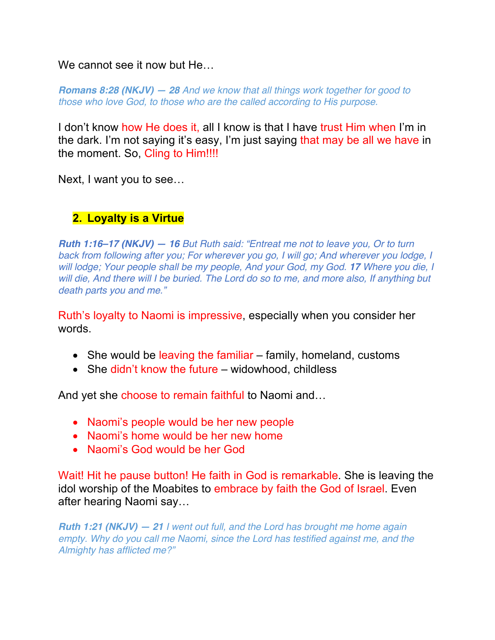We cannot see it now but He…

*Romans 8:28 (NKJV) — 28 And we know that all things work together for good to those who love God, to those who are the called according to His purpose.*

I don't know how He does it, all I know is that I have trust Him when I'm in the dark. I'm not saying it's easy, I'm just saying that may be all we have in the moment. So, Cling to Him!!!!

Next, I want you to see…

## **2. Loyalty is a Virtue**

*Ruth 1:16–17 (NKJV) — 16 But Ruth said: "Entreat me not to leave you, Or to turn back from following after you; For wherever you go, I will go; And wherever you lodge, I will lodge; Your people shall be my people, And your God, my God. 17 Where you die, I will die, And there will I be buried. The Lord do so to me, and more also, If anything but death parts you and me."*

Ruth's loyalty to Naomi is impressive, especially when you consider her words.

- She would be leaving the familiar family, homeland, customs
- She didn't know the future widowhood, childless

And yet she choose to remain faithful to Naomi and…

- Naomi's people would be her new people
- Naomi's home would be her new home
- Naomi's God would be her God

Wait! Hit he pause button! He faith in God is remarkable. She is leaving the idol worship of the Moabites to embrace by faith the God of Israel. Even after hearing Naomi say…

*Ruth 1:21 (NKJV) — 21 I went out full, and the Lord has brought me home again empty. Why do you call me Naomi, since the Lord has testified against me, and the Almighty has afflicted me?"*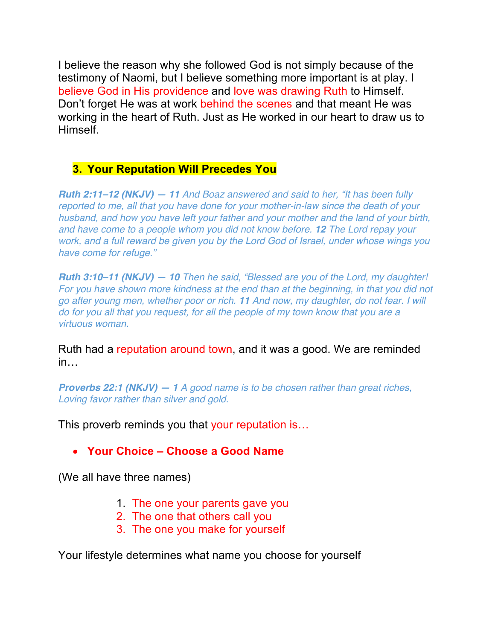I believe the reason why she followed God is not simply because of the testimony of Naomi, but I believe something more important is at play. I believe God in His providence and love was drawing Ruth to Himself. Don't forget He was at work behind the scenes and that meant He was working in the heart of Ruth. Just as He worked in our heart to draw us to Himself.

#### **3. Your Reputation Will Precedes You**

*Ruth 2:11–12 (NKJV) — 11 And Boaz answered and said to her, "It has been fully reported to me, all that you have done for your mother-in-law since the death of your husband, and how you have left your father and your mother and the land of your birth, and have come to a people whom you did not know before. 12 The Lord repay your work, and a full reward be given you by the Lord God of Israel, under whose wings you have come for refuge."*

*Ruth 3:10–11 (NKJV) — 10 Then he said, "Blessed are you of the Lord, my daughter! For you have shown more kindness at the end than at the beginning, in that you did not go after young men, whether poor or rich. 11 And now, my daughter, do not fear. I will do for you all that you request, for all the people of my town know that you are a virtuous woman.*

Ruth had a reputation around town, and it was a good. We are reminded in…

*Proverbs 22:1 (NKJV) — 1 A good name is to be chosen rather than great riches, Loving favor rather than silver and gold.*

This proverb reminds you that your reputation is...

• **Your Choice – Choose a Good Name**

(We all have three names)

- 1. The one your parents gave you
- 2. The one that others call you
- 3. The one you make for yourself

Your lifestyle determines what name you choose for yourself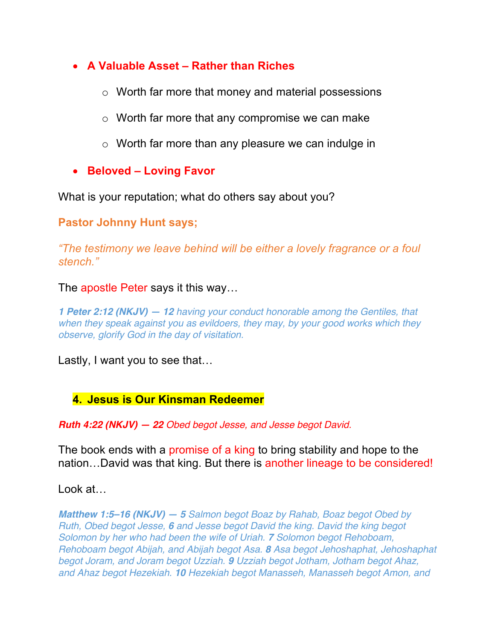### • **A Valuable Asset – Rather than Riches**

- o Worth far more that money and material possessions
- o Worth far more that any compromise we can make
- o Worth far more than any pleasure we can indulge in
- **Beloved – Loving Favor**

What is your reputation; what do others say about you?

#### **Pastor Johnny Hunt says;**

*"The testimony we leave behind will be either a lovely fragrance or a foul stench."*

#### The apostle Peter says it this way…

*1 Peter 2:12 (NKJV) — 12 having your conduct honorable among the Gentiles, that when they speak against you as evildoers, they may, by your good works which they observe, glorify God in the day of visitation.*

Lastly, I want you to see that…

#### **4. Jesus is Our Kinsman Redeemer**

*Ruth 4:22 (NKJV) — 22 Obed begot Jesse, and Jesse begot David.*

The book ends with a promise of a king to bring stability and hope to the nation…David was that king. But there is another lineage to be considered!

Look at…

*Matthew 1:5–16 (NKJV) — 5 Salmon begot Boaz by Rahab, Boaz begot Obed by Ruth, Obed begot Jesse, 6 and Jesse begot David the king. David the king begot Solomon by her who had been the wife of Uriah. 7 Solomon begot Rehoboam, Rehoboam begot Abijah, and Abijah begot Asa. 8 Asa begot Jehoshaphat, Jehoshaphat begot Joram, and Joram begot Uzziah. 9 Uzziah begot Jotham, Jotham begot Ahaz, and Ahaz begot Hezekiah. 10 Hezekiah begot Manasseh, Manasseh begot Amon, and*